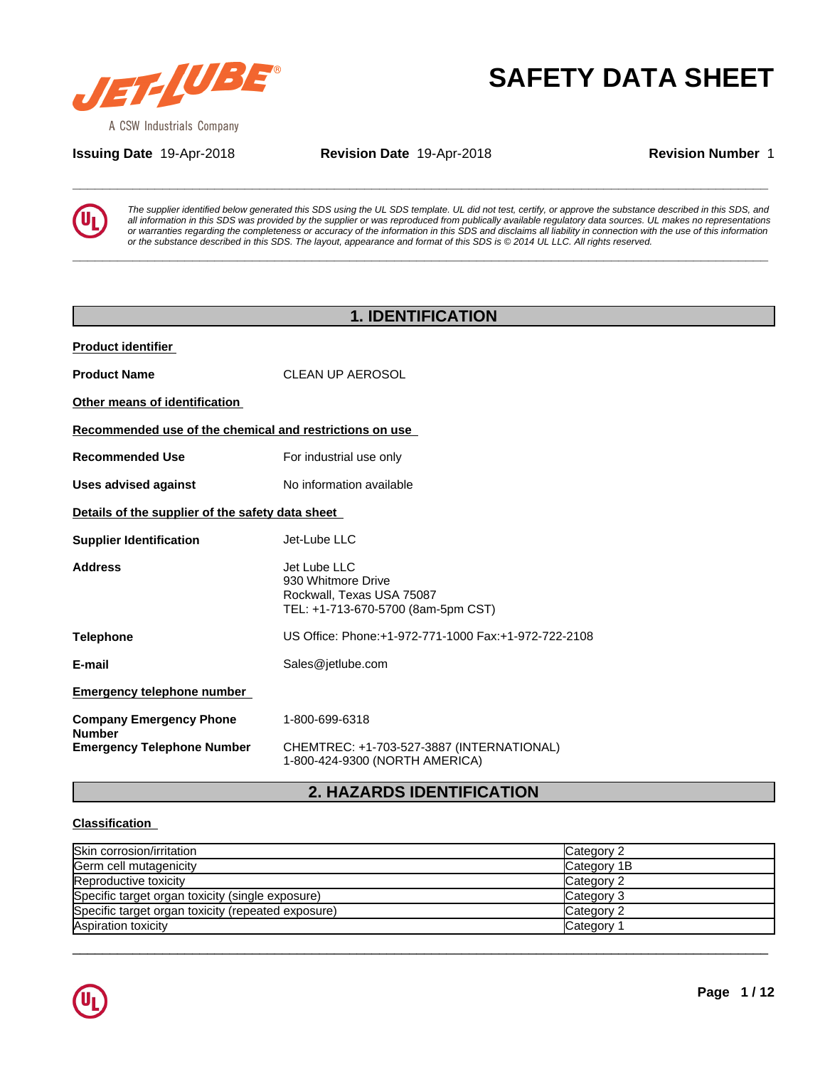

**Issuing Date** 19-Apr-2018 **Revision Date** 19-Apr-2018 **Revision Number** 1

**SAFETY DATA SHEET**<br>A CSW Industrials Company<br>**Assuing Date** 19-Apr-2018 **Revision Date** 19-Apr-2018 **Revision Number** 1<br>**Example is the transferred to the suppler** interaction to this SDS using the UL SDS template. UL did *The supplier identified below generated this SDS using the UL SDS template. UL did not test, certify, or approve the substance described in this SDS, and* all information in this SDS was provided by the supplier or was reproduced from publically available regulatory data sources. UL makes no representations or warranties regarding the completeness or accuracy of the information in this SDS and disclaims all liability in connection with the use of this information or the substance described in this SDS. The layout, appearance and format of this SDS is @ 2014 UL LLC. All rights reserved.

**\_\_\_\_\_\_\_\_\_\_\_\_\_\_\_\_\_\_\_\_\_\_\_\_\_\_\_\_\_\_\_\_\_\_\_\_\_\_\_\_\_\_\_\_\_\_\_\_\_\_\_\_\_\_\_\_\_\_\_\_\_\_\_\_\_\_\_\_\_\_\_\_\_\_\_\_\_\_\_\_\_\_\_\_\_\_\_\_\_\_\_\_\_**

| <b>1. IDENTIFICATION</b>                                |                                                                                                       |  |  |  |  |
|---------------------------------------------------------|-------------------------------------------------------------------------------------------------------|--|--|--|--|
| <b>Product identifier</b>                               |                                                                                                       |  |  |  |  |
| <b>Product Name</b>                                     | <b>CLEAN UP AEROSOL</b>                                                                               |  |  |  |  |
| Other means of identification                           |                                                                                                       |  |  |  |  |
| Recommended use of the chemical and restrictions on use |                                                                                                       |  |  |  |  |
| <b>Recommended Use</b>                                  | For industrial use only                                                                               |  |  |  |  |
| <b>Uses advised against</b>                             | No information available                                                                              |  |  |  |  |
| Details of the supplier of the safety data sheet        |                                                                                                       |  |  |  |  |
| <b>Supplier Identification</b>                          | Jet-Lube LLC                                                                                          |  |  |  |  |
| <b>Address</b>                                          | Jet Lube LLC<br>930 Whitmore Drive<br>Rockwall, Texas USA 75087<br>TEL: +1-713-670-5700 (8am-5pm CST) |  |  |  |  |
| <b>Telephone</b>                                        | US Office: Phone: +1-972-771-1000 Fax: +1-972-722-2108                                                |  |  |  |  |
| E-mail                                                  | Sales@jetlube.com                                                                                     |  |  |  |  |
| <b>Emergency telephone number</b>                       |                                                                                                       |  |  |  |  |
| <b>Company Emergency Phone</b><br><b>Number</b>         | 1-800-699-6318                                                                                        |  |  |  |  |
| <b>Emergency Telephone Number</b>                       | CHEMTREC: +1-703-527-3887 (INTERNATIONAL)<br>1-800-424-9300 (NORTH AMERICA)                           |  |  |  |  |

# **2. HAZARDS IDENTIFICATION**

## **Classification**

| Skin corrosion/irritation                          | Category 2  |
|----------------------------------------------------|-------------|
| Germ cell mutagenicity                             | Category 1B |
| Reproductive toxicity                              | Category 2  |
| Specific target organ toxicity (single exposure)   | Category 3  |
| Specific target organ toxicity (repeated exposure) | Category 2  |
| Aspiration toxicity                                | Category    |

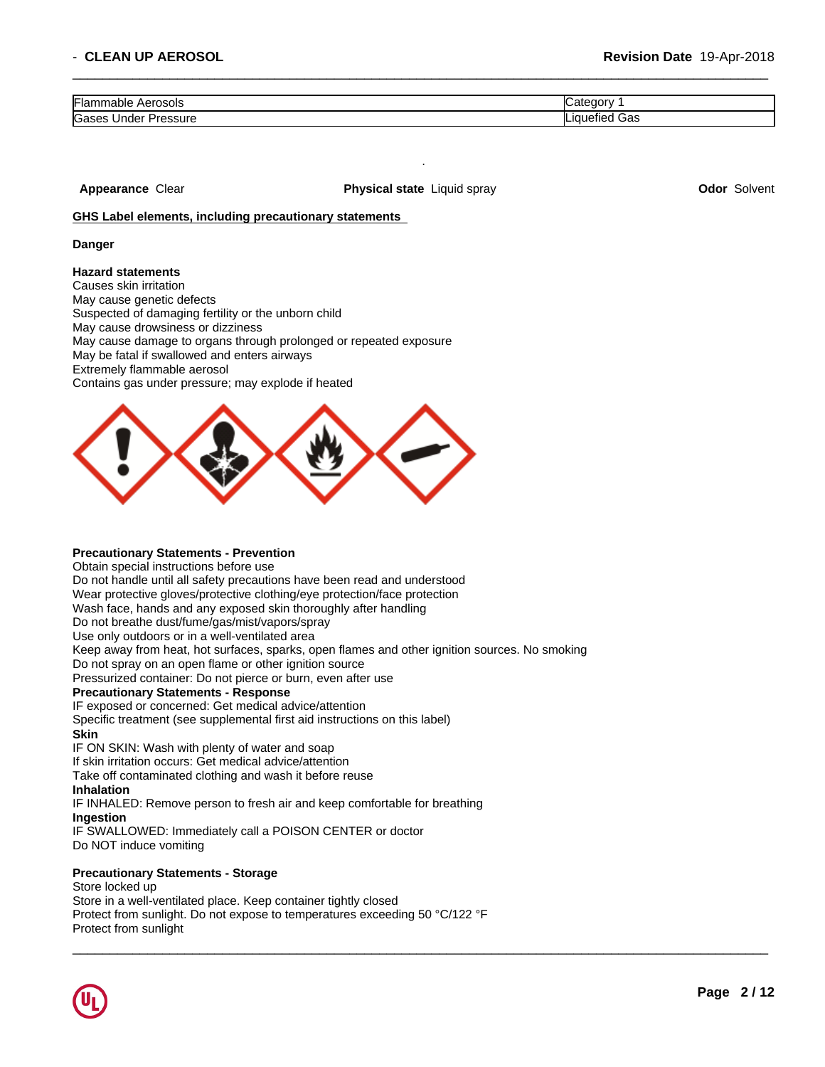| Flammable<br>Aerosols |              |
|-----------------------|--------------|
| Gases                 | $\mathbf{R}$ |
| Under                 | $\cdot$      |
| Pressure              | JdS          |

 $\overline{\phantom{a}}$  ,  $\overline{\phantom{a}}$  ,  $\overline{\phantom{a}}$  ,  $\overline{\phantom{a}}$  ,  $\overline{\phantom{a}}$  ,  $\overline{\phantom{a}}$  ,  $\overline{\phantom{a}}$  ,  $\overline{\phantom{a}}$  ,  $\overline{\phantom{a}}$  ,  $\overline{\phantom{a}}$  ,  $\overline{\phantom{a}}$  ,  $\overline{\phantom{a}}$  ,  $\overline{\phantom{a}}$  ,  $\overline{\phantom{a}}$  ,  $\overline{\phantom{a}}$  ,  $\overline{\phantom{a}}$ 

**Appearance** Clear **Physical state** Liquid spray **Odor** Solvent

.

### **GHS Label elements, including precautionary statements**

#### **Danger**

### **Hazard statements**

Causes skin irritation May cause genetic defects Suspected of damaging fertility or the unborn child May cause drowsiness or dizziness May cause damage to organs through prolonged or repeated exposure May be fatal if swallowed and enters airways Extremely flammable aerosol Contains gas under pressure; may explode if heated



### **Precautionary Statements - Prevention**

Obtain special instructions before use Do not handle until all safety precautions have been read and understood Wear protective gloves/protective clothing/eye protection/face protection Wash face, hands and any exposed skin thoroughly after handling Do not breathe dust/fume/gas/mist/vapors/spray Use only outdoors or in a well-ventilated area Keep away from heat, hot surfaces, sparks, open flames and other ignition sources. No smoking Do not spray on an open flame or other ignition source Pressurized container: Do not pierce or burn, even after use **Precautionary Statements - Response** IF exposed or concerned: Get medical advice/attention Specific treatment (see supplemental first aid instructions on this label) **Skin** IF ON SKIN: Wash with plenty of water and soap If skin irritation occurs: Get medical advice/attention Take off contaminated clothing and wash it before reuse **Inhalation** IF INHALED: Remove person to fresh air and keep comfortable for breathing **Ingestion** IF SWALLOWED: Immediately call a POISON CENTER or doctor

Do NOT induce vomiting

### **Precautionary Statements - Storage**

Store locked up Store in a well-ventilated place. Keep container tightly closed Protect from sunlight. Do not expose to temperatures exceeding 50 °C/122 °F Protect from sunlight

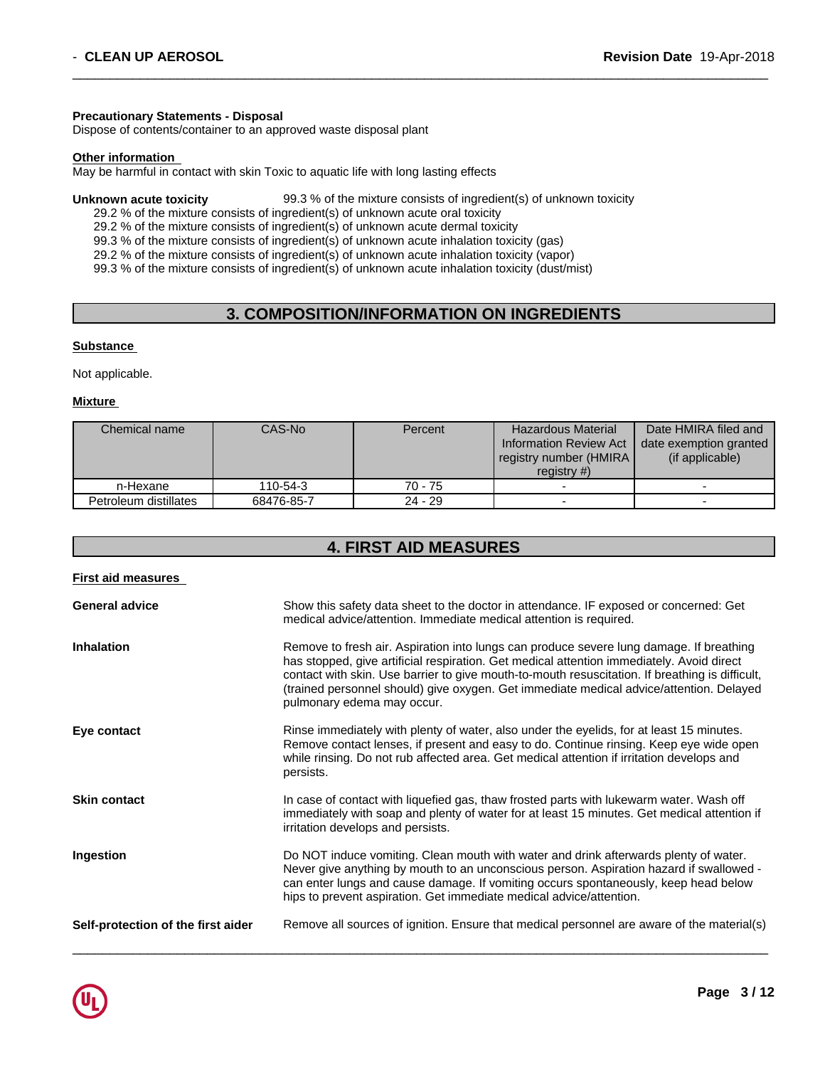### **Precautionary Statements - Disposal**

Dispose of contents/container to an approved waste disposal plant

## **Other information**

May be harmful in contact with skin Toxic to aquatic life with long lasting effects

#### **Unknown acute toxicity** 99.3 % of the mixture consists of ingredient(s) of unknown toxicity

29.2 % of the mixture consists of ingredient(s) of unknown acute oral toxicity

29.2 % of the mixture consists of ingredient(s) of unknown acute dermal toxicity

99.3 % of the mixture consists of ingredient(s) of unknown acute inhalation toxicity (gas)

29.2 % of the mixture consists of ingredient(s) of unknown acute inhalation toxicity (vapor)

99.3 % of the mixture consists of ingredient(s) of unknown acute inhalation toxicity (dust/mist)

# **3. COMPOSITION/INFORMATION ON INGREDIENTS**

 $\overline{\phantom{a}}$  ,  $\overline{\phantom{a}}$  ,  $\overline{\phantom{a}}$  ,  $\overline{\phantom{a}}$  ,  $\overline{\phantom{a}}$  ,  $\overline{\phantom{a}}$  ,  $\overline{\phantom{a}}$  ,  $\overline{\phantom{a}}$  ,  $\overline{\phantom{a}}$  ,  $\overline{\phantom{a}}$  ,  $\overline{\phantom{a}}$  ,  $\overline{\phantom{a}}$  ,  $\overline{\phantom{a}}$  ,  $\overline{\phantom{a}}$  ,  $\overline{\phantom{a}}$  ,  $\overline{\phantom{a}}$ 

### **Substance**

Not applicable.

### **Mixture**

| Chemical name         | CAS-No     | Percent   | <b>Hazardous Material</b><br><b>Information Review Act</b><br>registry number (HMIRA)<br>registry $#$ ) | Date HMIRA filed and<br>date exemption granted<br>(if applicable) |
|-----------------------|------------|-----------|---------------------------------------------------------------------------------------------------------|-------------------------------------------------------------------|
| n-Hexane              | 110-54-3   | 70 - 75   |                                                                                                         |                                                                   |
| Petroleum distillates | 68476-85-7 | $24 - 29$ |                                                                                                         |                                                                   |

# **4. FIRST AID MEASURES**

| <b>First aid measures</b>          |                                                                                                                                                                                                                                                                                                                                                                                                                  |
|------------------------------------|------------------------------------------------------------------------------------------------------------------------------------------------------------------------------------------------------------------------------------------------------------------------------------------------------------------------------------------------------------------------------------------------------------------|
| <b>General advice</b>              | Show this safety data sheet to the doctor in attendance. IF exposed or concerned: Get<br>medical advice/attention. Immediate medical attention is required.                                                                                                                                                                                                                                                      |
| <b>Inhalation</b>                  | Remove to fresh air. Aspiration into lungs can produce severe lung damage. If breathing<br>has stopped, give artificial respiration. Get medical attention immediately. Avoid direct<br>contact with skin. Use barrier to give mouth-to-mouth resuscitation. If breathing is difficult,<br>(trained personnel should) give oxygen. Get immediate medical advice/attention. Delayed<br>pulmonary edema may occur. |
| Eye contact                        | Rinse immediately with plenty of water, also under the eyelids, for at least 15 minutes.<br>Remove contact lenses, if present and easy to do. Continue rinsing. Keep eye wide open<br>while rinsing. Do not rub affected area. Get medical attention if irritation develops and<br>persists.                                                                                                                     |
| <b>Skin contact</b>                | In case of contact with liquefied gas, thaw frosted parts with lukewarm water. Wash off<br>immediately with soap and plenty of water for at least 15 minutes. Get medical attention if<br>irritation develops and persists.                                                                                                                                                                                      |
| Ingestion                          | Do NOT induce vomiting. Clean mouth with water and drink afterwards plenty of water.<br>Never give anything by mouth to an unconscious person. Aspiration hazard if swallowed -<br>can enter lungs and cause damage. If vomiting occurs spontaneously, keep head below<br>hips to prevent aspiration. Get immediate medical advice/attention.                                                                    |
| Self-protection of the first aider | Remove all sources of ignition. Ensure that medical personnel are aware of the material(s)                                                                                                                                                                                                                                                                                                                       |

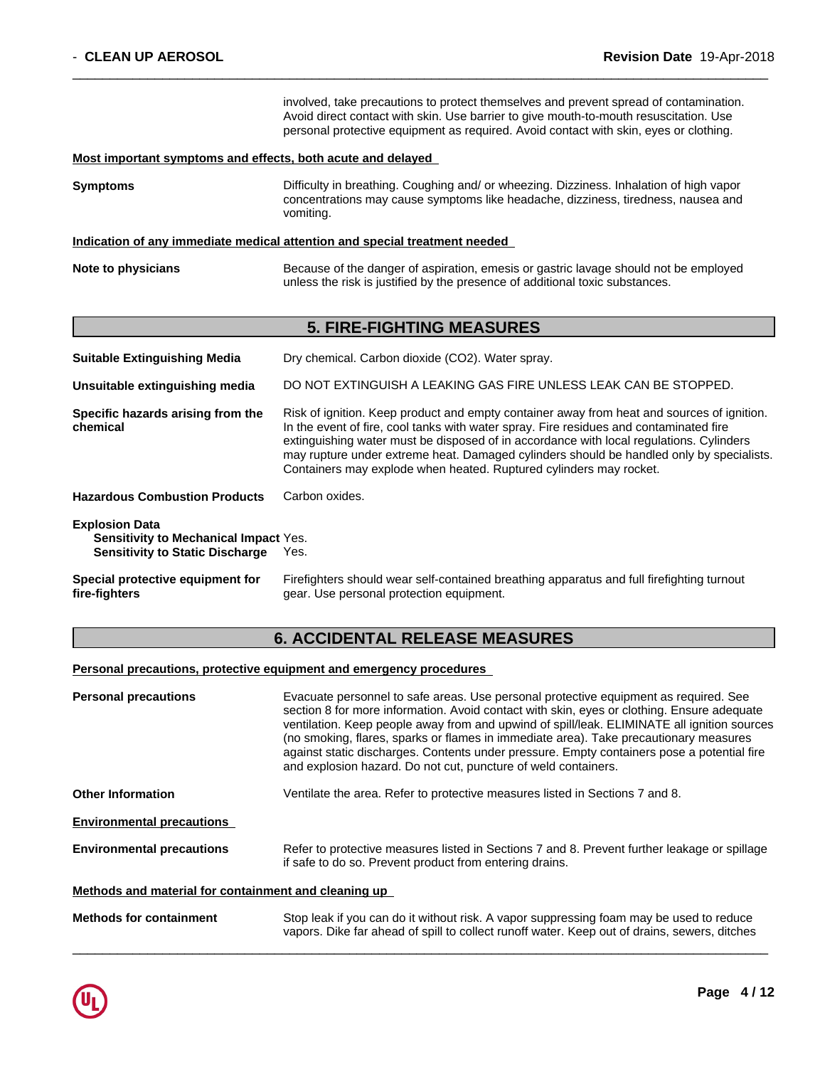I

|                                                                                                          | involved, take precautions to protect themselves and prevent spread of contamination.<br>Avoid direct contact with skin. Use barrier to give mouth-to-mouth resuscitation. Use<br>personal protective equipment as required. Avoid contact with skin, eyes or clothing.                                                                                                                                                                           |
|----------------------------------------------------------------------------------------------------------|---------------------------------------------------------------------------------------------------------------------------------------------------------------------------------------------------------------------------------------------------------------------------------------------------------------------------------------------------------------------------------------------------------------------------------------------------|
| Most important symptoms and effects, both acute and delayed                                              |                                                                                                                                                                                                                                                                                                                                                                                                                                                   |
| Symptoms                                                                                                 | Difficulty in breathing. Coughing and/ or wheezing. Dizziness. Inhalation of high vapor<br>concentrations may cause symptoms like headache, dizziness, tiredness, nausea and<br>vomiting.                                                                                                                                                                                                                                                         |
|                                                                                                          | Indication of any immediate medical attention and special treatment needed                                                                                                                                                                                                                                                                                                                                                                        |
| Note to physicians                                                                                       | Because of the danger of aspiration, emesis or gastric lavage should not be employed<br>unless the risk is justified by the presence of additional toxic substances.                                                                                                                                                                                                                                                                              |
|                                                                                                          | <b>5. FIRE-FIGHTING MEASURES</b>                                                                                                                                                                                                                                                                                                                                                                                                                  |
| <b>Suitable Extinguishing Media</b>                                                                      | Dry chemical. Carbon dioxide (CO2). Water spray.                                                                                                                                                                                                                                                                                                                                                                                                  |
| Unsuitable extinguishing media                                                                           | DO NOT EXTINGUISH A LEAKING GAS FIRE UNLESS LEAK CAN BE STOPPED.                                                                                                                                                                                                                                                                                                                                                                                  |
| Specific hazards arising from the<br>chemical                                                            | Risk of ignition. Keep product and empty container away from heat and sources of ignition.<br>In the event of fire, cool tanks with water spray. Fire residues and contaminated fire<br>extinguishing water must be disposed of in accordance with local regulations. Cylinders<br>may rupture under extreme heat. Damaged cylinders should be handled only by specialists.<br>Containers may explode when heated. Ruptured cylinders may rocket. |
| <b>Hazardous Combustion Products</b>                                                                     | Carbon oxides.                                                                                                                                                                                                                                                                                                                                                                                                                                    |
| <b>Explosion Data</b><br>Sensitivity to Mechanical Impact Yes.<br><b>Sensitivity to Static Discharge</b> | Yes.                                                                                                                                                                                                                                                                                                                                                                                                                                              |
| Special protective equipment for<br>fire-fighters                                                        | Firefighters should wear self-contained breathing apparatus and full firefighting turnout<br>gear. Use personal protection equipment.                                                                                                                                                                                                                                                                                                             |

 $\overline{\phantom{a}}$  ,  $\overline{\phantom{a}}$  ,  $\overline{\phantom{a}}$  ,  $\overline{\phantom{a}}$  ,  $\overline{\phantom{a}}$  ,  $\overline{\phantom{a}}$  ,  $\overline{\phantom{a}}$  ,  $\overline{\phantom{a}}$  ,  $\overline{\phantom{a}}$  ,  $\overline{\phantom{a}}$  ,  $\overline{\phantom{a}}$  ,  $\overline{\phantom{a}}$  ,  $\overline{\phantom{a}}$  ,  $\overline{\phantom{a}}$  ,  $\overline{\phantom{a}}$  ,  $\overline{\phantom{a}}$ 

# **6. ACCIDENTAL RELEASE MEASURES**

# **Personal precautions, protective equipment and emergency procedures**

| <b>Personal precautions</b>                          | Evacuate personnel to safe areas. Use personal protective equipment as required. See<br>section 8 for more information. Avoid contact with skin, eyes or clothing. Ensure adequate<br>ventilation. Keep people away from and upwind of spill/leak. ELIMINATE all ignition sources<br>(no smoking, flares, sparks or flames in immediate area). Take precautionary measures<br>against static discharges. Contents under pressure. Empty containers pose a potential fire<br>and explosion hazard. Do not cut, puncture of weld containers. |  |  |  |
|------------------------------------------------------|--------------------------------------------------------------------------------------------------------------------------------------------------------------------------------------------------------------------------------------------------------------------------------------------------------------------------------------------------------------------------------------------------------------------------------------------------------------------------------------------------------------------------------------------|--|--|--|
| <b>Other Information</b>                             | Ventilate the area. Refer to protective measures listed in Sections 7 and 8.                                                                                                                                                                                                                                                                                                                                                                                                                                                               |  |  |  |
| <b>Environmental precautions</b>                     |                                                                                                                                                                                                                                                                                                                                                                                                                                                                                                                                            |  |  |  |
| <b>Environmental precautions</b>                     | Refer to protective measures listed in Sections 7 and 8. Prevent further leakage or spillage<br>if safe to do so. Prevent product from entering drains.                                                                                                                                                                                                                                                                                                                                                                                    |  |  |  |
| Methods and material for containment and cleaning up |                                                                                                                                                                                                                                                                                                                                                                                                                                                                                                                                            |  |  |  |
| <b>Methods for containment</b>                       | Stop leak if you can do it without risk. A vapor suppressing foam may be used to reduce<br>vapors. Dike far ahead of spill to collect runoff water. Keep out of drains, sewers, ditches                                                                                                                                                                                                                                                                                                                                                    |  |  |  |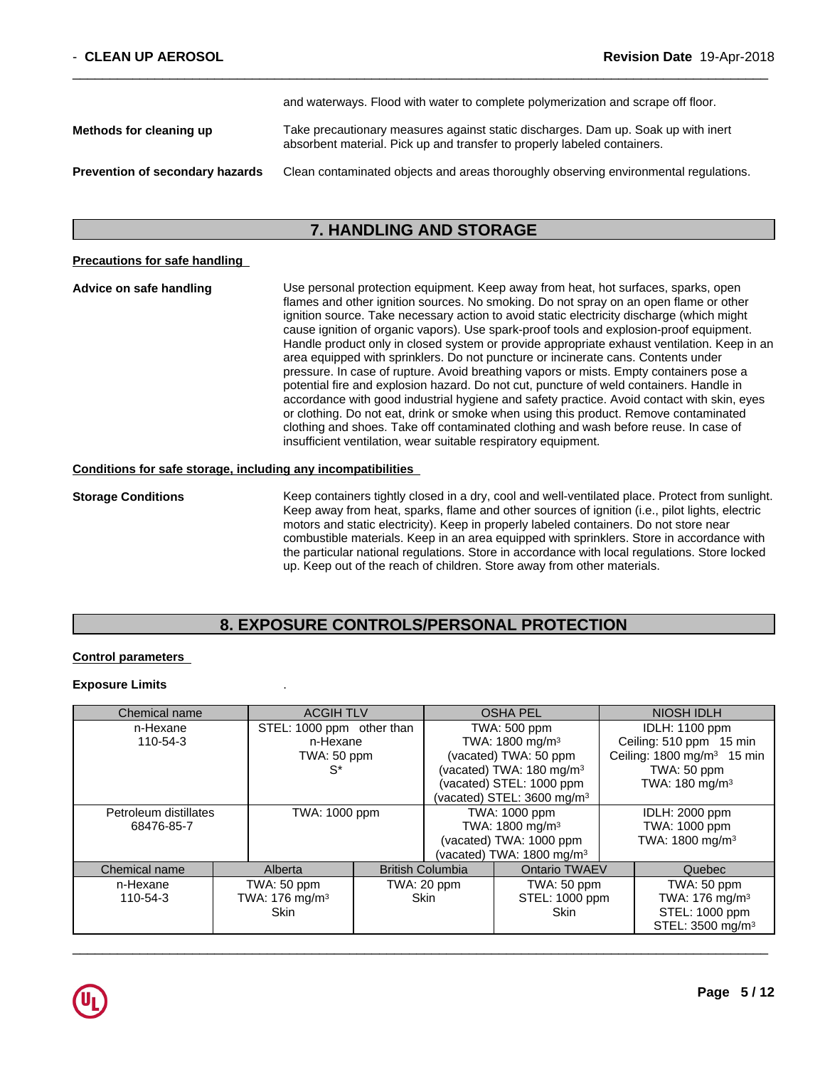|                                        | and watchways. I love with watch to complete polymenzation and scrape on hour.                                                                                |
|----------------------------------------|---------------------------------------------------------------------------------------------------------------------------------------------------------------|
| Methods for cleaning up                | Take precautionary measures against static discharges. Dam up. Soak up with inert<br>absorbent material. Pick up and transfer to properly labeled containers. |
| <b>Prevention of secondary hazards</b> | Clean contaminated objects and areas thoroughly observing environmental regulations.                                                                          |

and waterways.Flood with water to complete polymerization and scrape off floor.

# **7. HANDLING AND STORAGE**

### **Precautions for safe handling**

**Advice on safe handling** Use personal protection equipment.Keep away from heat, hot surfaces, sparks, open flames and other ignition sources. No smoking. Do not spray on an open flame or other ignition source. Take necessary action to avoid static electricity discharge (which might cause ignition of organic vapors). Use spark-proof tools and explosion-proof equipment. Handle product only in closed system or provide appropriate exhaust ventilation. Keep in an area equipped with sprinklers. Do not puncture or incinerate cans. Contents under pressure. In case of rupture. Avoid breathing vapors or mists. Empty containers pose a potential fire and explosion hazard. Do not cut, puncture of weld containers. Handle in accordance with good industrial hygiene and safety practice. Avoid contact with skin, eyes or clothing. Do not eat, drink or smoke when using this product. Remove contaminated clothing and shoes. Take off contaminated clothing and wash before reuse. In case of insufficient ventilation, wear suitable respiratory equipment.

### **Conditions for safe storage, including any incompatibilities**

**Storage Conditions** Keep containers tightly closed in a dry, cool and well-ventilated place. Protect from sunlight. Keep away from heat, sparks, flame and other sources of ignition (i.e., pilot lights, electric motors and static electricity). Keep in properly labeled containers. Do not store near combustible materials. Keep in an area equipped with sprinklers. Store in accordance with the particular national regulations. Store in accordance with local regulations. Store locked up. Keep out of the reach of children. Store away from other materials.

# **8. EXPOSURE CONTROLS/PERSONAL PROTECTION**

## **Control parameters**

### **Exposure Limits** .

| Chemical name         | <b>ACGIH TLV</b>           | <b>OSHA PEL</b>                                 |                                      | NIOSH IDLH                            |                                       |
|-----------------------|----------------------------|-------------------------------------------------|--------------------------------------|---------------------------------------|---------------------------------------|
| n-Hexane              | STEL: 1000 ppm other than  |                                                 | <b>TWA: 500 ppm</b>                  |                                       | <b>IDLH: 1100 ppm</b>                 |
| 110-54-3              | n-Hexane                   |                                                 | TWA: 1800 mg/m <sup>3</sup>          |                                       | Ceiling: 510 ppm 15 min               |
|                       | TWA: 50 ppm                |                                                 |                                      | (vacated) TWA: 50 ppm                 | Ceiling: $1800 \text{ mg/m}^3$ 15 min |
|                       | $S^*$                      |                                                 | (vacated) TWA: 180 mg/m <sup>3</sup> |                                       | TWA: 50 ppm                           |
|                       |                            |                                                 |                                      | (vacated) STEL: 1000 ppm              | TWA: $180 \text{ mg/m}^3$             |
|                       |                            |                                                 |                                      | (vacated) STEL: $3600 \text{ mg/m}^3$ |                                       |
| Petroleum distillates | TWA: 1000 ppm              |                                                 | TWA: 1000 ppm                        |                                       | <b>IDLH: 2000 ppm</b>                 |
| 68476-85-7            |                            |                                                 | TWA: 1800 mg/m <sup>3</sup>          |                                       | TWA: 1000 ppm                         |
|                       |                            |                                                 | (vacated) TWA: 1000 ppm              |                                       | TWA: 1800 mg/m <sup>3</sup>           |
|                       |                            |                                                 |                                      | (vacated) TWA: $1800 \text{ mg/m}^3$  |                                       |
| Chemical name         | Alberta                    | <b>Ontario TWAEV</b><br><b>British Columbia</b> |                                      | Quebec                                |                                       |
| n-Hexane              | TWA: 50 ppm                |                                                 | TWA: 20 ppm<br>TWA: 50 ppm           |                                       | TWA: 50 ppm                           |
| 110-54-3              | TWA: 176 mg/m <sup>3</sup> |                                                 | Skin                                 | STEL: 1000 ppm                        | TWA: $176$ mg/m <sup>3</sup>          |
|                       | <b>Skin</b>                |                                                 |                                      | <b>Skin</b>                           | STEL: 1000 ppm                        |
|                       |                            |                                                 |                                      |                                       | STEL: 3500 mg/m <sup>3</sup>          |

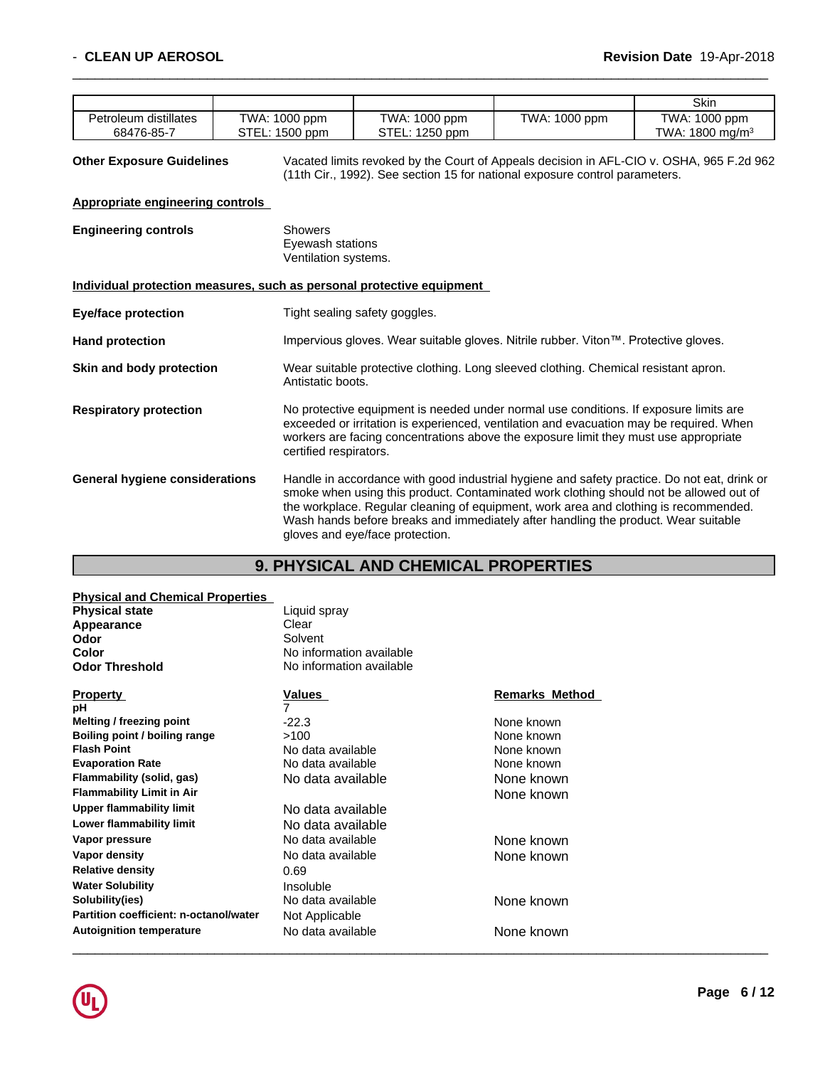|                       |                                 |                     |               | Skin                         |
|-----------------------|---------------------------------|---------------------|---------------|------------------------------|
| Petroleum distillates | TWA: 1000 ppm                   | TWA: 1000 ppm       | TWA: 1000 ppm | TWA: 1000 ppm                |
| 68476-85-7            | $\therefore$ 1500 ppm<br>.∟∟ا ن | STEL:<br>$1250$ ppm |               | . 1800 mg/m $^3\,$<br>TWA: . |

**Other Exposure Guidelines** Vacated limits revoked by the Court of Appeals decision in AFL-CIO v.OSHA, 965 F.2d 962 (11th Cir., 1992). See section 15 for national exposure control parameters.

 $\overline{\phantom{a}}$  ,  $\overline{\phantom{a}}$  ,  $\overline{\phantom{a}}$  ,  $\overline{\phantom{a}}$  ,  $\overline{\phantom{a}}$  ,  $\overline{\phantom{a}}$  ,  $\overline{\phantom{a}}$  ,  $\overline{\phantom{a}}$  ,  $\overline{\phantom{a}}$  ,  $\overline{\phantom{a}}$  ,  $\overline{\phantom{a}}$  ,  $\overline{\phantom{a}}$  ,  $\overline{\phantom{a}}$  ,  $\overline{\phantom{a}}$  ,  $\overline{\phantom{a}}$  ,  $\overline{\phantom{a}}$ 

# **Appropriate engineering controls**

| <b>Engineering controls</b>    | <b>Showers</b><br>Eyewash stations<br>Ventilation systems.                                                                                                                                                                                                                                                                                                                                             |
|--------------------------------|--------------------------------------------------------------------------------------------------------------------------------------------------------------------------------------------------------------------------------------------------------------------------------------------------------------------------------------------------------------------------------------------------------|
|                                | Individual protection measures, such as personal protective equipment                                                                                                                                                                                                                                                                                                                                  |
| <b>Eye/face protection</b>     | Tight sealing safety goggles.                                                                                                                                                                                                                                                                                                                                                                          |
| <b>Hand protection</b>         | Impervious gloves. Wear suitable gloves. Nitrile rubber. Viton™. Protective gloves.                                                                                                                                                                                                                                                                                                                    |
| Skin and body protection       | Wear suitable protective clothing. Long sleeved clothing. Chemical resistant apron.<br>Antistatic boots.                                                                                                                                                                                                                                                                                               |
| <b>Respiratory protection</b>  | No protective equipment is needed under normal use conditions. If exposure limits are<br>exceeded or irritation is experienced, ventilation and evacuation may be required. When<br>workers are facing concentrations above the exposure limit they must use appropriate<br>certified respirators.                                                                                                     |
| General hygiene considerations | Handle in accordance with good industrial hygiene and safety practice. Do not eat, drink or<br>smoke when using this product. Contaminated work clothing should not be allowed out of<br>the workplace. Regular cleaning of equipment, work area and clothing is recommended.<br>Wash hands before breaks and immediately after handling the product. Wear suitable<br>gloves and eye/face protection. |

# **9. PHYSICAL AND CHEMICAL PROPERTIES**

### **Physical and Chemical Properties**

| <b>Physical state</b>            | Liquid spray             |                       |
|----------------------------------|--------------------------|-----------------------|
| Appearance                       | Clear                    |                       |
| Odor                             | Solvent                  |                       |
| Color                            | No information available |                       |
| <b>Odor Threshold</b>            | No information available |                       |
| <b>Property</b>                  | <b>Values</b>            | <b>Remarks Method</b> |
| рH                               |                          |                       |
| Melting / freezing point         | $-22.3$                  | None known            |
| Boiling point / boiling range    | >100                     | None known            |
| <b>Flash Point</b>               | No data available        | None known            |
| <b>Evaporation Rate</b>          | No data available        | None known            |
| Flammability (solid, gas)        | No data available        | None known            |
| <b>Flammability Limit in Air</b> |                          | None known            |
| Upper flammability limit         | No data available        |                       |

| <b>Upper flammability limit</b>        | No data available |            |  |
|----------------------------------------|-------------------|------------|--|
| Lower flammability limit               | No data available |            |  |
| Vapor pressure                         | No data available | None known |  |
| Vapor density                          | No data available | None known |  |
| <b>Relative density</b>                | 0.69              |            |  |
| <b>Water Solubility</b>                | Insoluble         |            |  |
| Solubility(ies)                        | No data available | None known |  |
| Partition coefficient: n-octanol/water | Not Applicable    |            |  |
| <b>Autoignition temperature</b>        | No data available | None known |  |
|                                        |                   |            |  |

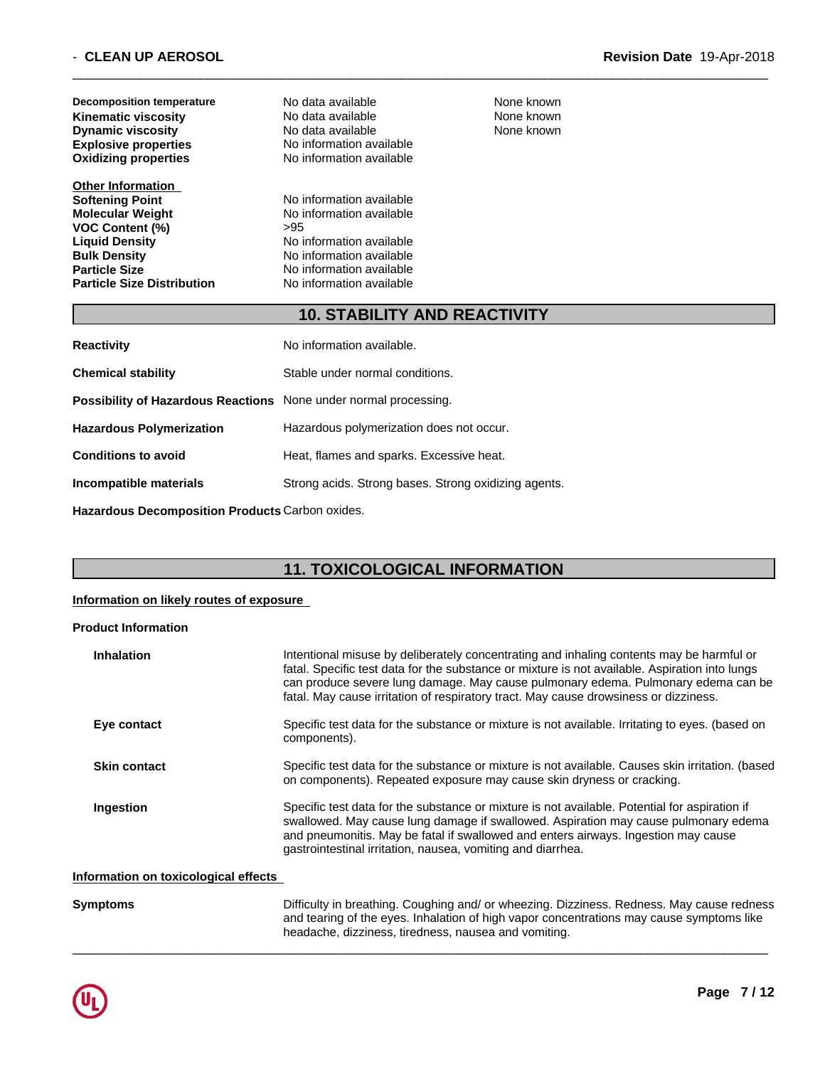| Decomposition temperature<br><b>Kinematic viscosity</b><br><b>Dynamic viscosity</b><br><b>Explosive properties</b><br><b>Oxidizing properties</b>                                                                    | No data available<br>No data available<br>No data available<br>No information available<br>No information available                                                         | None known<br>None known<br>None known |  |
|----------------------------------------------------------------------------------------------------------------------------------------------------------------------------------------------------------------------|-----------------------------------------------------------------------------------------------------------------------------------------------------------------------------|----------------------------------------|--|
| <b>Other Information</b><br><b>Softening Point</b><br><b>Molecular Weight</b><br><b>VOC Content (%)</b><br><b>Liquid Density</b><br><b>Bulk Density</b><br><b>Particle Size</b><br><b>Particle Size Distribution</b> | No information available<br>No information available<br>>95<br>No information available<br>No information available<br>No information available<br>No information available |                                        |  |

# **10. STABILITY AND REACTIVITY**

 $\overline{\phantom{a}}$  ,  $\overline{\phantom{a}}$  ,  $\overline{\phantom{a}}$  ,  $\overline{\phantom{a}}$  ,  $\overline{\phantom{a}}$  ,  $\overline{\phantom{a}}$  ,  $\overline{\phantom{a}}$  ,  $\overline{\phantom{a}}$  ,  $\overline{\phantom{a}}$  ,  $\overline{\phantom{a}}$  ,  $\overline{\phantom{a}}$  ,  $\overline{\phantom{a}}$  ,  $\overline{\phantom{a}}$  ,  $\overline{\phantom{a}}$  ,  $\overline{\phantom{a}}$  ,  $\overline{\phantom{a}}$ 

| <b>Reactivity</b>                                                       | No information available.                            |
|-------------------------------------------------------------------------|------------------------------------------------------|
| <b>Chemical stability</b>                                               | Stable under normal conditions.                      |
| <b>Possibility of Hazardous Reactions</b> None under normal processing. |                                                      |
| <b>Hazardous Polymerization</b>                                         | Hazardous polymerization does not occur.             |
| <b>Conditions to avoid</b>                                              | Heat, flames and sparks. Excessive heat.             |
| Incompatible materials                                                  | Strong acids. Strong bases. Strong oxidizing agents. |
|                                                                         |                                                      |

**Hazardous Decomposition Products** Carbon oxides.

# **11. TOXICOLOGICAL INFORMATION**

### **Information on likely routes of exposure**

### **Product Information**

| <b>Inhalation</b>                    | Intentional misuse by deliberately concentrating and inhaling contents may be harmful or<br>fatal. Specific test data for the substance or mixture is not available. Aspiration into lungs<br>can produce severe lung damage. May cause pulmonary edema. Pulmonary edema can be<br>fatal. May cause irritation of respiratory tract. May cause drowsiness or dizziness. |
|--------------------------------------|-------------------------------------------------------------------------------------------------------------------------------------------------------------------------------------------------------------------------------------------------------------------------------------------------------------------------------------------------------------------------|
| Eye contact                          | Specific test data for the substance or mixture is not available. Irritating to eyes. (based on<br>components).                                                                                                                                                                                                                                                         |
| <b>Skin contact</b>                  | Specific test data for the substance or mixture is not available. Causes skin irritation. (based<br>on components). Repeated exposure may cause skin dryness or cracking.                                                                                                                                                                                               |
| Ingestion                            | Specific test data for the substance or mixture is not available. Potential for aspiration if<br>swallowed. May cause lung damage if swallowed. Aspiration may cause pulmonary edema<br>and pneumonitis. May be fatal if swallowed and enters airways. Ingestion may cause<br>gastrointestinal irritation, nausea, vomiting and diarrhea.                               |
| Information on toxicological effects |                                                                                                                                                                                                                                                                                                                                                                         |
| <b>Symptoms</b>                      | Difficulty in breathing. Coughing and/ or wheezing. Dizziness. Redness. May cause redness                                                                                                                                                                                                                                                                               |

headache, dizziness, tiredness, nausea and vomiting.

and tearing of the eyes. Inhalation of high vapor concentrations may cause symptoms like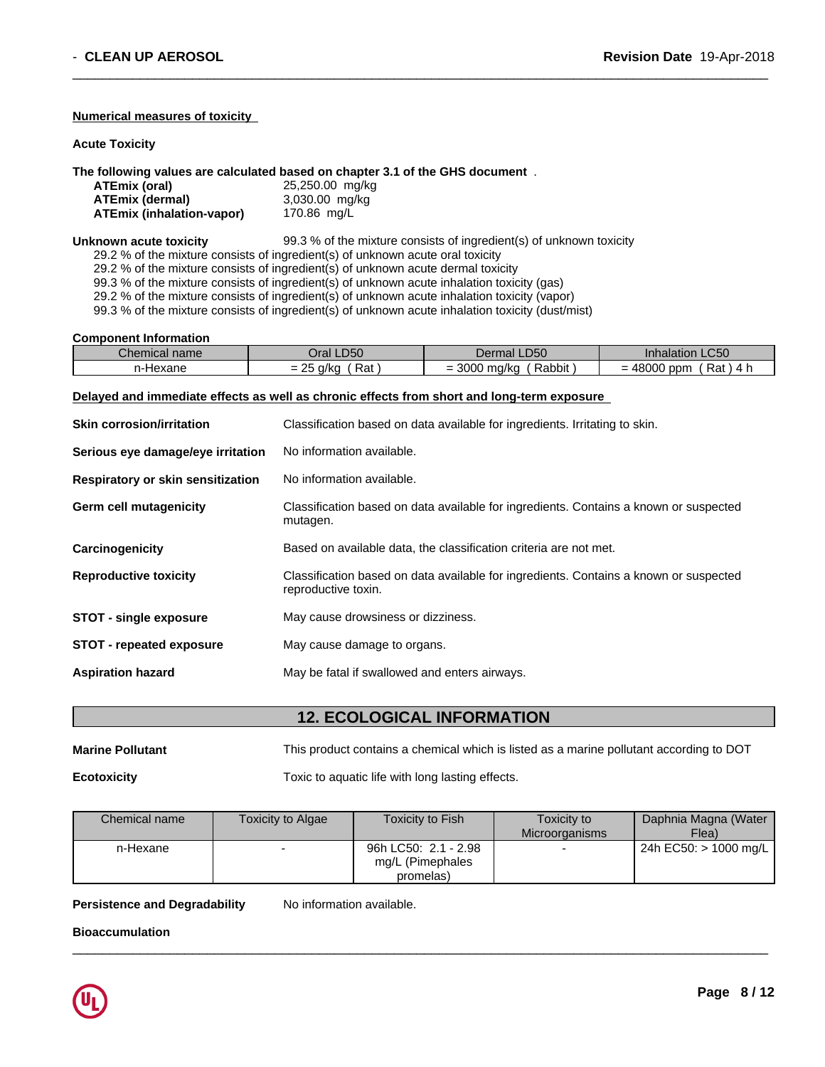### **Numerical measures of toxicity**

**Acute Toxicity**

### **The following values are calculated based on chapter 3.1 of the GHS document** .

| ATEmix (oral)                    | 25,250.00 mg/kg                                                                  |  |
|----------------------------------|----------------------------------------------------------------------------------|--|
| <b>ATEmix (dermal)</b>           | 3,030.00 mg/kg                                                                   |  |
| <b>ATEmix (inhalation-vapor)</b> | 170.86 mg/L                                                                      |  |
| Unknown acute toxicity           | 99.3 % of the mixture consists of ingredient(s) of unknown toxicity              |  |
|                                  | 29.2 % of the mixture consists of ingredient(s) of unknown acute oral toxicity   |  |
|                                  | 29.2 % of the mixture consists of ingredient(s) of unknown acute dermal toxicity |  |

99.3 % of the mixture consists of ingredient(s) of unknown acute inhalation toxicity (gas) 29.2 % of the mixture consists of ingredient(s) of unknown acute inhalation toxicity (vapor)

99.3 % of the mixture consists of ingredient(s) of unknown acute inhalation toxicity (dust/mist)

#### **Component Information**

| Chemical name | <b>LD50</b><br>⊃raı                                                                                   | LD50<br>Dermal                                                          | <b>Inhalation LC50</b>                        |
|---------------|-------------------------------------------------------------------------------------------------------|-------------------------------------------------------------------------|-----------------------------------------------|
| n-Hexane      | Rat<br>nr<br>$\alpha$ / $\alpha$<br>$\overline{\phantom{0}}$<br>und<br>$\overline{\phantom{a}}$<br>-- | nnnn<br>.<br>Rabbit<br>ma/ko ע<br>-<br>ouuu<br>$\overline{\phantom{0}}$ | Rat<br>10000<br>ppm<br>. 4 r<br>- 71 -<br>uuu |

 $\overline{\phantom{a}}$  ,  $\overline{\phantom{a}}$  ,  $\overline{\phantom{a}}$  ,  $\overline{\phantom{a}}$  ,  $\overline{\phantom{a}}$  ,  $\overline{\phantom{a}}$  ,  $\overline{\phantom{a}}$  ,  $\overline{\phantom{a}}$  ,  $\overline{\phantom{a}}$  ,  $\overline{\phantom{a}}$  ,  $\overline{\phantom{a}}$  ,  $\overline{\phantom{a}}$  ,  $\overline{\phantom{a}}$  ,  $\overline{\phantom{a}}$  ,  $\overline{\phantom{a}}$  ,  $\overline{\phantom{a}}$ 

#### **Delayed and immediate effects as well as chronic effects from short and long-term exposure**

| <b>Skin corrosion/irritation</b>  | Classification based on data available for ingredients. Irritating to skin.                                  |
|-----------------------------------|--------------------------------------------------------------------------------------------------------------|
| Serious eye damage/eye irritation | No information available.                                                                                    |
| Respiratory or skin sensitization | No information available.                                                                                    |
| <b>Germ cell mutagenicity</b>     | Classification based on data available for ingredients. Contains a known or suspected<br>mutagen.            |
| Carcinogenicity                   | Based on available data, the classification criteria are not met.                                            |
| <b>Reproductive toxicity</b>      | Classification based on data available for ingredients. Contains a known or suspected<br>reproductive toxin. |
| <b>STOT - single exposure</b>     | May cause drowsiness or dizziness.                                                                           |
| <b>STOT</b> - repeated exposure   | May cause damage to organs.                                                                                  |
| <b>Aspiration hazard</b>          | May be fatal if swallowed and enters airways.                                                                |

# **12. ECOLOGICAL INFORMATION**

| <b>Marine Pollutant</b> | This product contains a chemical which is listed as a marine pollutant according to DOT |
|-------------------------|-----------------------------------------------------------------------------------------|
| <b>Ecotoxicity</b>      | Toxic to aquatic life with long lasting effects.                                        |

| Chemical name | <b>Toxicity to Algae</b> | Toxicity to Fish     | Toxicity to           | Daphnia Magna (Water                  |
|---------------|--------------------------|----------------------|-----------------------|---------------------------------------|
|               |                          |                      | <b>Microorganisms</b> | Flea)                                 |
| n-Hexane      |                          | 96h LC50: 2.1 - 2.98 |                       | $\vert$ 24h EC50: > 1000 mg/L $\vert$ |
|               |                          | mg/L (Pimephales     |                       |                                       |
|               |                          | promelas)            |                       |                                       |

 $\overline{\phantom{a}}$  ,  $\overline{\phantom{a}}$  ,  $\overline{\phantom{a}}$  ,  $\overline{\phantom{a}}$  ,  $\overline{\phantom{a}}$  ,  $\overline{\phantom{a}}$  ,  $\overline{\phantom{a}}$  ,  $\overline{\phantom{a}}$  ,  $\overline{\phantom{a}}$  ,  $\overline{\phantom{a}}$  ,  $\overline{\phantom{a}}$  ,  $\overline{\phantom{a}}$  ,  $\overline{\phantom{a}}$  ,  $\overline{\phantom{a}}$  ,  $\overline{\phantom{a}}$  ,  $\overline{\phantom{a}}$ 

**Persistence and Degradability** No information available.

**Bioaccumulation**

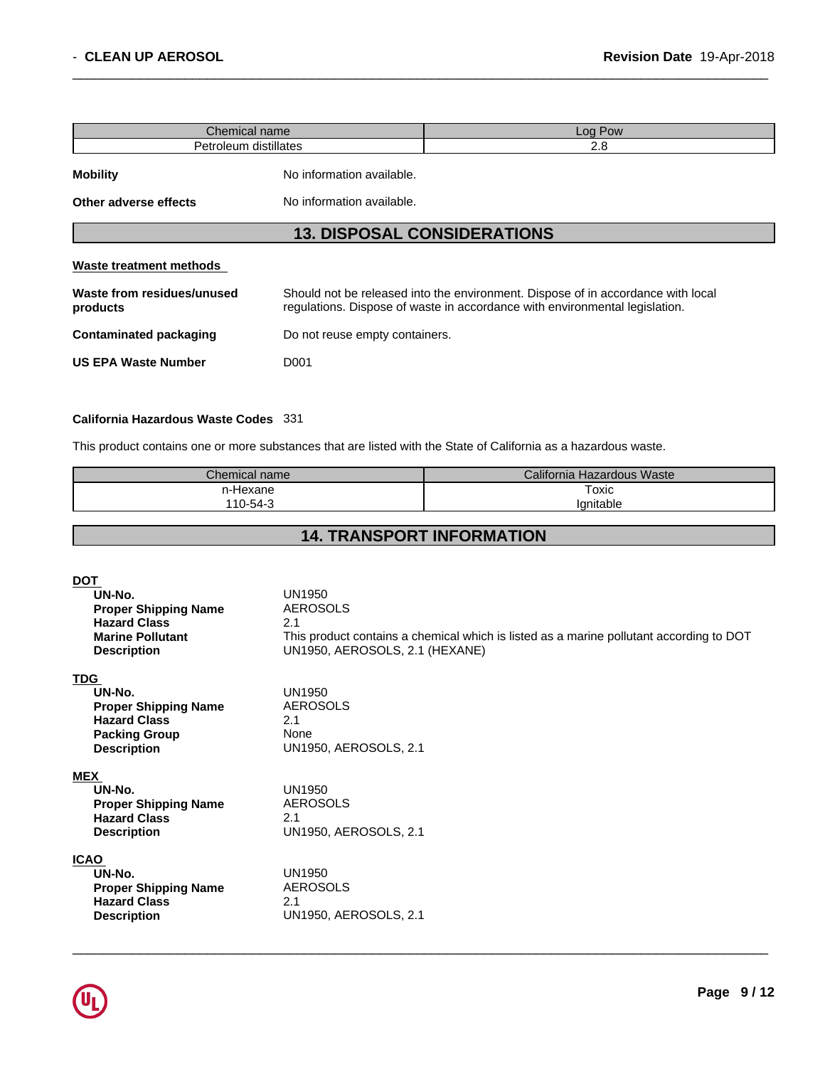| Chemical name                                |                                | Log Pow                                                                                                                                                         |  |
|----------------------------------------------|--------------------------------|-----------------------------------------------------------------------------------------------------------------------------------------------------------------|--|
| Petroleum distillates                        |                                | 2.8                                                                                                                                                             |  |
| <b>Mobility</b><br>No information available. |                                |                                                                                                                                                                 |  |
| Other adverse effects                        | No information available.      |                                                                                                                                                                 |  |
|                                              |                                | <b>13. DISPOSAL CONSIDERATIONS</b>                                                                                                                              |  |
| Waste treatment methods                      |                                |                                                                                                                                                                 |  |
| Waste from residues/unused<br>products       |                                | Should not be released into the environment. Dispose of in accordance with local<br>regulations. Dispose of waste in accordance with environmental legislation. |  |
| <b>Contaminated packaging</b>                | Do not reuse empty containers. |                                                                                                                                                                 |  |
| <b>US EPA Waste Number</b>                   | D <sub>001</sub>               |                                                                                                                                                                 |  |

# **California Hazardous Waste Codes** 331

This product contains one or more substances that are listed with the State of California as a hazardous waste.

| Chemical name | California Hazardous Waste |
|---------------|----------------------------|
| n-Hexane      | Toxic                      |
| 110-54-3      | 'anitable                  |

# **14. TRANSPORT INFORMATION**

| <b>DOT</b><br>UN-No.<br><b>Proper Shipping Name</b><br><b>Hazard Class</b><br><b>Marine Pollutant</b><br><b>Description</b> | <b>UN1950</b><br><b>AEROSOLS</b><br>2.1<br>This product contains a chemical which is listed as a marine pollutant according to DOT<br>UN1950, AEROSOLS, 2.1 (HEXANE) |
|-----------------------------------------------------------------------------------------------------------------------------|----------------------------------------------------------------------------------------------------------------------------------------------------------------------|
| <b>TDG</b><br>UN-No.<br><b>Proper Shipping Name</b><br><b>Hazard Class</b><br><b>Packing Group</b><br><b>Description</b>    | <b>UN1950</b><br><b>AEROSOLS</b><br>2.1<br>None<br>UN1950, AEROSOLS, 2.1                                                                                             |
| <b>MEX</b><br>UN-No.<br><b>Proper Shipping Name</b><br><b>Hazard Class</b><br><b>Description</b>                            | <b>UN1950</b><br>AEROSOLS<br>2.1<br>UN1950, AEROSOLS, 2.1                                                                                                            |
| <b>ICAO</b><br>UN-No.<br><b>Proper Shipping Name</b><br><b>Hazard Class</b><br><b>Description</b>                           | <b>UN1950</b><br>AEROSOLS<br>2.1<br>UN1950, AEROSOLS, 2.1                                                                                                            |

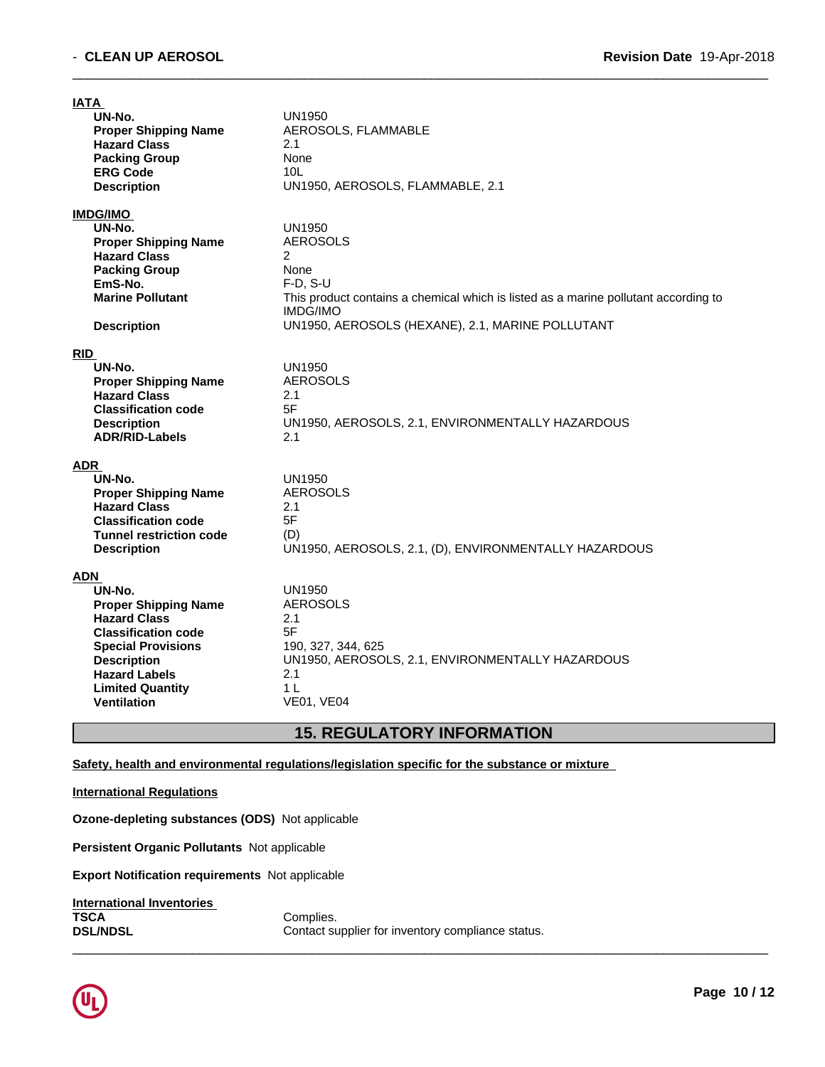| <b>IATA</b>                                 |                                                                                     |
|---------------------------------------------|-------------------------------------------------------------------------------------|
| UN-No.                                      | UN1950                                                                              |
| <b>Proper Shipping Name</b>                 | AEROSOLS, FLAMMABLE                                                                 |
| <b>Hazard Class</b>                         | 2.1                                                                                 |
| <b>Packing Group</b>                        | None                                                                                |
| <b>ERG Code</b>                             | 10 <sub>L</sub>                                                                     |
| <b>Description</b>                          | UN1950, AEROSOLS, FLAMMABLE, 2.1                                                    |
| <b>IMDG/IMO</b>                             |                                                                                     |
| UN-No.                                      | UN1950                                                                              |
| <b>Proper Shipping Name</b>                 | <b>AEROSOLS</b>                                                                     |
| <b>Hazard Class</b>                         | 2                                                                                   |
| <b>Packing Group</b>                        | None                                                                                |
| EmS-No.                                     | $F-D, S-U$                                                                          |
| <b>Marine Pollutant</b>                     | This product contains a chemical which is listed as a marine pollutant according to |
|                                             | <b>IMDG/IMO</b>                                                                     |
| <b>Description</b>                          | UN1950, AEROSOLS (HEXANE), 2.1, MARINE POLLUTANT                                    |
|                                             |                                                                                     |
| <b>RID</b><br>UN-No.                        | UN1950                                                                              |
| <b>Proper Shipping Name</b>                 | <b>AEROSOLS</b>                                                                     |
| <b>Hazard Class</b>                         | 2.1                                                                                 |
| <b>Classification code</b>                  | 5F                                                                                  |
|                                             | UN1950, AEROSOLS, 2.1, ENVIRONMENTALLY HAZARDOUS                                    |
| <b>Description</b><br><b>ADR/RID-Labels</b> | 2.1                                                                                 |
|                                             |                                                                                     |
| <b>ADR</b>                                  |                                                                                     |
| UN-No.                                      | <b>UN1950</b>                                                                       |
| <b>Proper Shipping Name</b>                 | <b>AEROSOLS</b>                                                                     |
| <b>Hazard Class</b>                         | 2.1                                                                                 |
| <b>Classification code</b>                  | 5F                                                                                  |
| <b>Tunnel restriction code</b>              | (D)                                                                                 |
| <b>Description</b>                          | UN1950, AEROSOLS, 2.1, (D), ENVIRONMENTALLY HAZARDOUS                               |
| <b>ADN</b>                                  |                                                                                     |
| UN-No.                                      | <b>UN1950</b>                                                                       |
| <b>Proper Shipping Name</b>                 | <b>AEROSOLS</b>                                                                     |
| <b>Hazard Class</b>                         | 2.1                                                                                 |
| <b>Classification code</b>                  | 5F                                                                                  |
|                                             |                                                                                     |
| <b>Special Provisions</b>                   | 190, 327, 344, 625                                                                  |
| <b>Description</b>                          | UN1950, AEROSOLS, 2.1, ENVIRONMENTALLY HAZARDOUS                                    |
| <b>Hazard Labels</b>                        | 2.1                                                                                 |
| <b>Limited Quantity</b>                     | 1 <sub>L</sub>                                                                      |
| <b>Ventilation</b>                          | <b>VE01, VE04</b>                                                                   |
|                                             |                                                                                     |

# **15. REGULATORY INFORMATION**

 $\overline{\phantom{a}}$  ,  $\overline{\phantom{a}}$  ,  $\overline{\phantom{a}}$  ,  $\overline{\phantom{a}}$  ,  $\overline{\phantom{a}}$  ,  $\overline{\phantom{a}}$  ,  $\overline{\phantom{a}}$  ,  $\overline{\phantom{a}}$  ,  $\overline{\phantom{a}}$  ,  $\overline{\phantom{a}}$  ,  $\overline{\phantom{a}}$  ,  $\overline{\phantom{a}}$  ,  $\overline{\phantom{a}}$  ,  $\overline{\phantom{a}}$  ,  $\overline{\phantom{a}}$  ,  $\overline{\phantom{a}}$ 

### **Safety, health and environmental regulations/legislation specific for the substance or mixture**

### **International Regulations**

**Ozone-depleting substances (ODS)** Notapplicable

**Persistent Organic Pollutants** Not applicable

**Export Notification requirements** Not applicable

| International Inventories |                                                   |
|---------------------------|---------------------------------------------------|
| <b>TSCA</b>               | Complies.                                         |
| <b>DSL/NDSL</b>           | Contact supplier for inventory compliance status. |

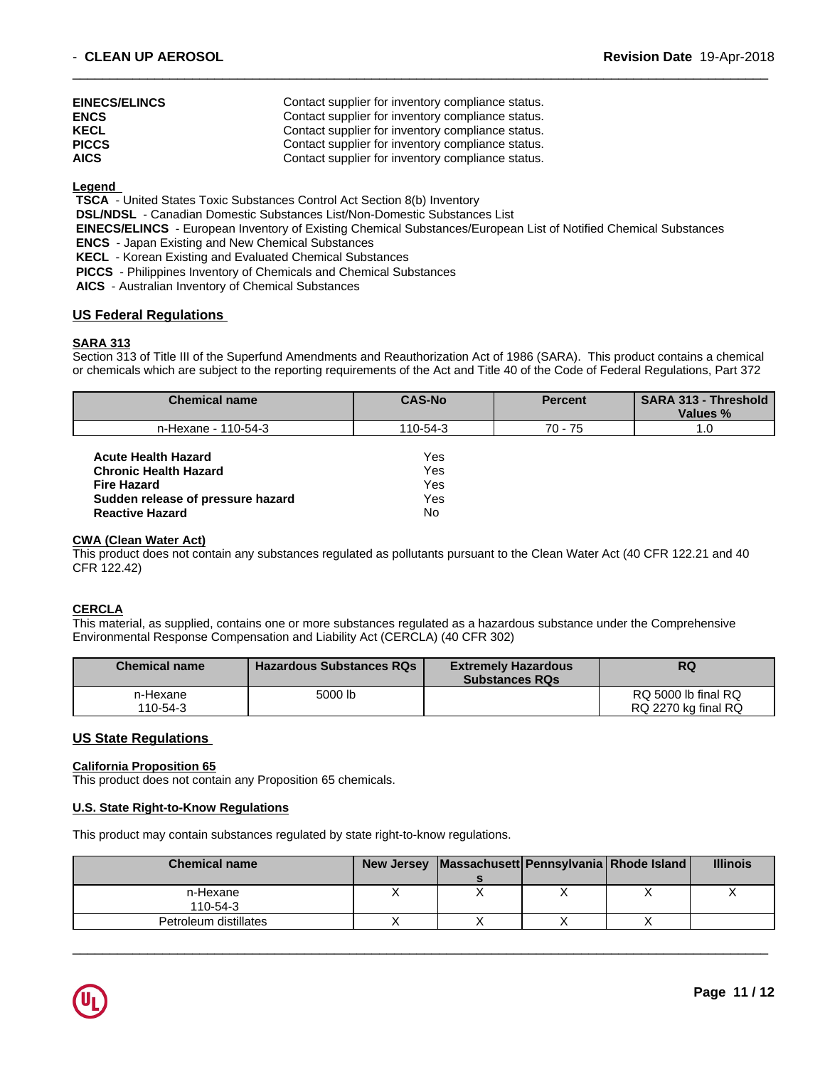| <b>EINECS/ELINCS</b> | Contact supplier for inventory compliance status. |
|----------------------|---------------------------------------------------|
| <b>ENCS</b>          | Contact supplier for inventory compliance status. |
| <b>KECL</b>          | Contact supplier for inventory compliance status. |
| <b>PICCS</b>         | Contact supplier for inventory compliance status. |
| <b>AICS</b>          | Contact supplier for inventory compliance status. |

**Legend** 

 **TSCA** - United States Toxic Substances Control Act Section 8(b) Inventory

 **DSL/NDSL** - Canadian Domestic Substances List/Non-Domestic Substances List

 **EINECS/ELINCS** - European Inventory of Existing Chemical Substances/European List of Notified Chemical Substances

 $\overline{\phantom{a}}$  ,  $\overline{\phantom{a}}$  ,  $\overline{\phantom{a}}$  ,  $\overline{\phantom{a}}$  ,  $\overline{\phantom{a}}$  ,  $\overline{\phantom{a}}$  ,  $\overline{\phantom{a}}$  ,  $\overline{\phantom{a}}$  ,  $\overline{\phantom{a}}$  ,  $\overline{\phantom{a}}$  ,  $\overline{\phantom{a}}$  ,  $\overline{\phantom{a}}$  ,  $\overline{\phantom{a}}$  ,  $\overline{\phantom{a}}$  ,  $\overline{\phantom{a}}$  ,  $\overline{\phantom{a}}$ 

 **ENCS** - Japan Existing and New Chemical Substances

 **KECL** - Korean Existing and Evaluated Chemical Substances

 **PICCS** - Philippines Inventory of Chemicals and Chemical Substances

 **AICS** - Australian Inventory of Chemical Substances

### **US Federal Regulations**

### **SARA 313**

Section 313 of Title III of the Superfund Amendments and Reauthorization Act of 1986 (SARA). This product contains a chemical or chemicals which are subject to the reporting requirements of the Act and Title 40 of the Code of Federal Regulations, Part 372

| <b>Chemical name</b>              | <b>CAS-No</b> | <b>Percent</b> | <b>SARA 313 - Threshold</b><br>Values % |
|-----------------------------------|---------------|----------------|-----------------------------------------|
| n-Hexane - 110-54-3               | 110-54-3      | 70 - 75        | 1.0                                     |
| <b>Acute Health Hazard</b>        | Yes           |                |                                         |
| <b>Chronic Health Hazard</b>      | Yes           |                |                                         |
| <b>Fire Hazard</b>                | Yes           |                |                                         |
| Sudden release of pressure hazard | Yes           |                |                                         |
| <b>Reactive Hazard</b>            | No            |                |                                         |

### **CWA (Clean WaterAct)**

This product does not contain any substances regulated as pollutants pursuant to the Clean Water Act (40 CFR 122.21 and 40 CFR 122.42)

## **CERCLA**

This material, as supplied, contains one or more substances regulated as a hazardous substance under the Comprehensive Environmental Response Compensation and Liability Act (CERCLA) (40 CFR 302)

| <b>Chemical name</b> | <b>Hazardous Substances RQs</b> | <b>Extremely Hazardous</b><br><b>Substances RQs</b> | <b>RQ</b>           |
|----------------------|---------------------------------|-----------------------------------------------------|---------------------|
| n-Hexane             | 5000 lb                         |                                                     | RQ 5000 lb final RQ |
| 110-54-3             |                                 |                                                     | RQ 2270 kg final RQ |

### **US State Regulations**

#### **California Proposition 65**

This product does not contain any Proposition 65 chemicals.

### **U.S. State Right-to-Know Regulations**

This product may contain substances regulated by state right-to-know regulations.

| <b>Chemical name</b>  | New Jersey   Massachusett   Pennsylvania   Rhode Island |  | <b>Illinois</b> |
|-----------------------|---------------------------------------------------------|--|-----------------|
|                       |                                                         |  |                 |
| n-Hexane              |                                                         |  |                 |
| $110 - 54 - 3$        |                                                         |  |                 |
| Petroleum distillates |                                                         |  |                 |